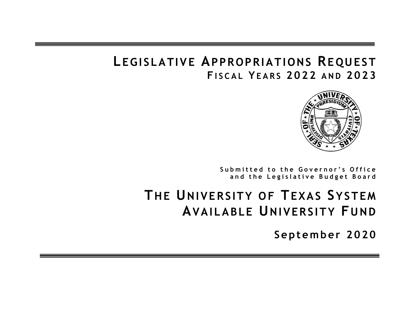# **L EGISLATIVE APPROPRIATIONS REQUEST F I S C A L YE A R S 2 0 2 2 A N D 2 0 2 3**



Submitted to the Governor's Office and the Legislative Budget Board

# **THE UNIVERSITY OF TEXAS SYSTEM AVAILABLE UNIVERSITY FUND**

**Septem ber 2020**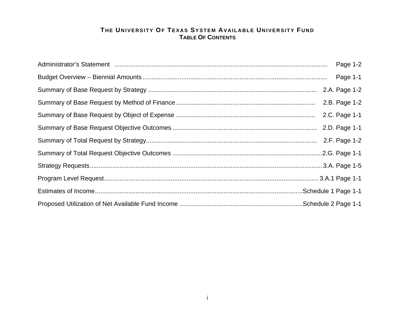# **T HE UNIVERSITY OF TEXAS SYSTEM AVAILABLE UNIVERSITY F UNDTABLE OF CONTENTS**

| Page 1-2      |
|---------------|
|               |
|               |
| 2.B. Page 1-2 |
|               |
|               |
|               |
|               |
|               |
|               |
|               |
|               |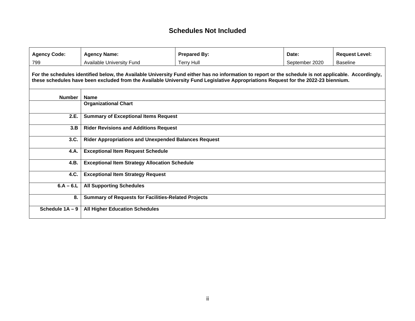# **Schedules Not Included**

| <b>Agency Code:</b> | <b>Agency Name:</b>                                         | <b>Prepared By:</b>                                                                                                                                                                                                                                                                         | Date:          | <b>Request Level:</b> |
|---------------------|-------------------------------------------------------------|---------------------------------------------------------------------------------------------------------------------------------------------------------------------------------------------------------------------------------------------------------------------------------------------|----------------|-----------------------|
| 799                 | Available University Fund                                   | <b>Terry Hull</b>                                                                                                                                                                                                                                                                           | September 2020 | <b>Baseline</b>       |
|                     |                                                             | For the schedules identified below, the Available University Fund either has no information to report or the schedule is not applicable. Accordingly,<br>these schedules have been excluded from the Available University Fund Legislative Appropriations Request for the 2022-23 biennium. |                |                       |
| <b>Number</b>       | <b>Name</b>                                                 |                                                                                                                                                                                                                                                                                             |                |                       |
|                     | <b>Organizational Chart</b>                                 |                                                                                                                                                                                                                                                                                             |                |                       |
| 2.E.                | <b>Summary of Exceptional Items Request</b>                 |                                                                                                                                                                                                                                                                                             |                |                       |
| 3.B                 | <b>Rider Revisions and Additions Request</b>                |                                                                                                                                                                                                                                                                                             |                |                       |
| 3.C.                | <b>Rider Appropriations and Unexpended Balances Request</b> |                                                                                                                                                                                                                                                                                             |                |                       |
| 4.A.                | <b>Exceptional Item Request Schedule</b>                    |                                                                                                                                                                                                                                                                                             |                |                       |
| 4.B.                | <b>Exceptional Item Strategy Allocation Schedule</b>        |                                                                                                                                                                                                                                                                                             |                |                       |
| 4.C.                | <b>Exceptional Item Strategy Request</b>                    |                                                                                                                                                                                                                                                                                             |                |                       |
| $6.A - 6.L$         | <b>All Supporting Schedules</b>                             |                                                                                                                                                                                                                                                                                             |                |                       |
| 8.                  | <b>Summary of Requests for Facilities-Related Projects</b>  |                                                                                                                                                                                                                                                                                             |                |                       |
| Schedule 1A - 9     | <b>All Higher Education Schedules</b>                       |                                                                                                                                                                                                                                                                                             |                |                       |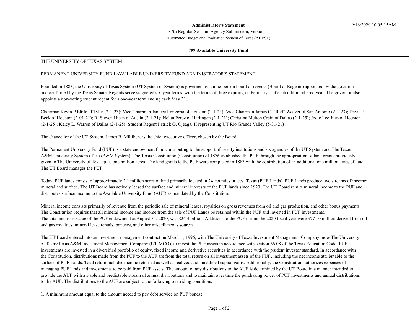87th Regular Session, Agency Submission, Version 1 Automated Budget and Evaluation System of Texas (ABEST)

#### 799 Available University Fund

#### THE UNIVERSITY OF TEXAS SYSTEM

#### PERMANENT UNIVERSITY FUND I AVAILABLE UNIVERSITY FUND ADMINISTRATOR'S STATEMENT

Founded in 1883, the University of Texas System (UT System or System) is governed by a nine-person board of regents (Board or Regents) appointed by the governor and confirmed by the Texas Senate. Regents serve staggered six-year terms, with the terms of three expiring on February 1 of each odd-numbered year. The governor also appoints a non-voting student regent for a one-year term ending each May 31.

Chairman Kevin P Eltife of Tyler (2-1-23); Vice Chairman Janiece Longoria of Houston (2-1-23); Vice Chairman James C. "Rad" Weaver of San Antonio (2-1-23); David J. Beck of Houston (2-01-21); R. Steven Hicks of Austin (2-1-21); Nolan Perez of Harlingen (2-1-21); Christina Melton Crain of Dallas (2-1-25); Jodie Lee Jiles of Houston (2-1-25); Kelcy L. Warren of Dallas (2-1-25); Student Regent Patrick O. Ojeaga, II representing UT Rio Grande Valley (5-31-21)

The chancellor of the UT System, James B. Milliken, is the chief executive officer, chosen by the Board.

The Permanent University Fund (PUF) is a state endowment fund contributing to the support of twenty institutions and six agencies of the UT System and The Texas A&M University System (Texas A&M System). The Texas Constitution (Constitution) of 1876 established the PUF through the appropriation of land grants previously given to The University of Texas plus one million acres. The land grants to the PUF were completed in 1883 with the contribution of an additional one million acres of land. The UT Board manages the PUF.

Today, PUF lands consist of approximately 2.1 million acres of land primarily located in 24 counties in west Texas (PUF Lands). PUF Lands produce two streams of income: mineral and surface. The UT Board has actively leased the surface and mineral interests of the PUF lands since 1923. The UT Board remits mineral income to the PUF and distributes surface income to the Available University Fund (AUF) as mandated by the Constitution.

Mineral income consists primarily of revenue from the periodic sale of mineral leases, royalties on gross revenues from oil and gas production, and other bonus payments. The Constitution requires that all mineral income and income from the sale of PUF Lands be retained within the PUF and invested in PUF investments. The total net asset value of the PUF endowment at August 31, 2020, was \$24.4 billion. Additions to the PUF during the 2020 fiscal year were \$771.0 million derived from oil and gas royalties, mineral lease rentals, bonuses, and other miscellaneous sources.

The UT Board entered into an investment management contract on March 1, 1996, with The University of Texas Investment Management Company, now The University of Texas/Texas A&M Investment Management Company (UTIMCO), to invest the PUF assets in accordance with section 66.08 of the Texas Education Code. PUF investments are invested in a diversified portfolio of equity, fixed income and derivative securities in accordance with the prudent investor standard. In accordance with the Constitution, distributions made from the PUF to the AUF are from the total return on all investment assets of the PUF, including the net income attributable to the surface of PUF Lands. Total return includes income returned as well as realized and unrealized capital gains. Additionally, the Constitution authorizes expenses of managing PUF lands and investments to be paid from PUF assets. The amount of any distributions to the AUF is determined by the UT Board in a manner intended to provide the AUF with a stable and predictable stream of annual distributions and to maintain over time the purchasing power of PUF investments and annual distributions to the AUF. The distributions to the AUF are subject to the following overriding conditions:

1. A minimum amount equal to the amount needed to pay debt service on PUF bonds;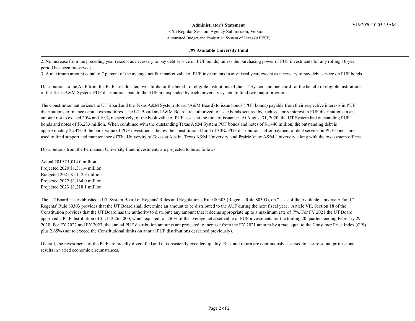87th Regular Session, Agency Submission, Version 1

Automated Budget and Evaluation System of Texas (ABEST)

#### 799 Available University Fund

2. No increase from the preceding year (except as necessary to pay debt service on PUF bonds) unless the purchasing power of PUF investments for any rolling 10-year period has been preserved;

3. A maximum amount equal to 7 percent of the average net fair market value of PUF investments in any fiscal year, except as necessary to pay debt service on PUF bonds.

Distributions to the AUF from the PUF are allocated two-thirds for the benefit of eligible institutions of the UT System and one-third for the benefit of eligible institutions of the Texas A&M System. PUF distributions paid to the AUF are expended by each university system to fund two major programs.

The Constitution authorizes the UT Board and the Texas A&M System Board (A&M Board) to issue bonds (PUF bonds) payable from their respective interests in PUF distributions to finance capital expenditures. The UT Board and A&M Board are authorized to issue bonds secured by each system's interest in PUF distributions in an amount not to exceed 20% and 10%, respectively, of the book value of PUF assets at the time of issuance. At August 31, 2020, the UT System had outstanding PUF bonds and notes of \$3,233 million. When combined with the outstanding Texas A&M System PUF bonds and notes of \$1,440 million, the outstanding debt is approximately 22.4% of the book value of PUF investments, below the constitutional limit of 30%. PUF distributions, after payment of debt service on PUF bonds, are used to fund support and maintenance of The University of Texas at Austin, Texas A&M University, and Prairie View A&M University, along with the two system offices.

Distributions from the Permanent University Fund investments are projected to be as follows:

Actual 2019 \$1,014.0 million Projected 2020 \$1,311.4 million Budgeted 2021 \$1,112.3 million Projected 2022 \$1,164.0 million Projected 2023 \$1,218.1 million

The UT Board has established a UT System Board of Regents' Rules and Regulations, Rule 80303 (Regents' Rule 80303), on "Uses of the Available University Fund." Regents' Rule 80303 provides that the UT Board shall determine an amount to be distributed to the AUF during the next fiscal year. Article VII, Section 18 of the Constitution provides that the UT Board has the authority to distribute any amount that it deems appropriate up to a maximum rate of 7%. For FY 2021 the UT Board approved a PUF distribution of \$1,112,265,000, which equated to 5.50% of the average net asset value of PUF investments for the trailing 20 quarters ending February 29, 2020. For FY 2022 and FY 2023, the annual PUF distribution amounts are projected to increase from the FY 2021 amount by a rate equal to the Consumer Price Index (CPI) plus 2.65% (not to exceed the Constitutional limits on annual PUF distributions described previously).

Overall, the investments of the PUF are broadly diversified and of consistently excellent quality. Risk and return are continuously assessed to assure sound professional results in varied economic circumstances.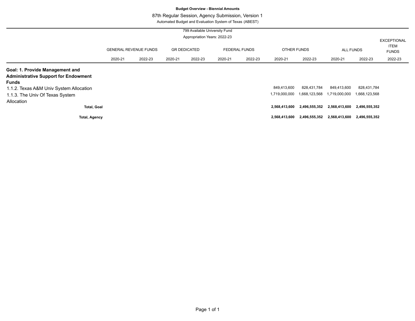# **Budget Overview - Biennial Amounts**

# 87th Regular Session, Agency Submission, Version 1

Automated Budget and Evaluation System of Texas (ABEST)

|                                                  |         | 799 Available University Fund<br>Appropriation Years: 2022-23 |         |                     |         |                      |                    |               |               |                             | <b>EXCEPTIONAL</b><br><b>ITEM</b> |
|--------------------------------------------------|---------|---------------------------------------------------------------|---------|---------------------|---------|----------------------|--------------------|---------------|---------------|-----------------------------|-----------------------------------|
|                                                  |         | <b>GENERAL REVENUE FUNDS</b>                                  |         | <b>GR DEDICATED</b> |         | <b>FEDERAL FUNDS</b> | <b>OTHER FUNDS</b> |               | ALL FUNDS     |                             | <b>FUNDS</b>                      |
|                                                  | 2020-21 | 2022-23                                                       | 2020-21 | 2022-23             | 2020-21 | 2022-23              | 2020-21            | 2022-23       | 2020-21       | 2022-23                     | 2022-23                           |
| Goal: 1. Provide Management and                  |         |                                                               |         |                     |         |                      |                    |               |               |                             |                                   |
| <b>Administrative Support for Endowment</b>      |         |                                                               |         |                     |         |                      |                    |               |               |                             |                                   |
| Funds<br>1.1.2. Texas A&M Univ System Allocation |         |                                                               |         |                     |         |                      | 849,413,600        | 828,431,784   | 849,413,600   | 828,431,784                 |                                   |
| 1.1.3. The Univ Of Texas System                  |         |                                                               |         |                     |         |                      | 1,719,000,000      | 1,668,123,568 | 1,719,000,000 | 1,668,123,568               |                                   |
| Allocation                                       |         |                                                               |         |                     |         |                      |                    |               |               |                             |                                   |
| <b>Total, Goal</b>                               |         |                                                               |         |                     |         |                      | 2,568,413,600      | 2,496,555,352 | 2,568,413,600 | 2,496,555,352               |                                   |
| <b>Total, Agency</b>                             |         |                                                               |         |                     |         |                      | 2,568,413,600      | 2,496,555,352 |               | 2,568,413,600 2,496,555,352 |                                   |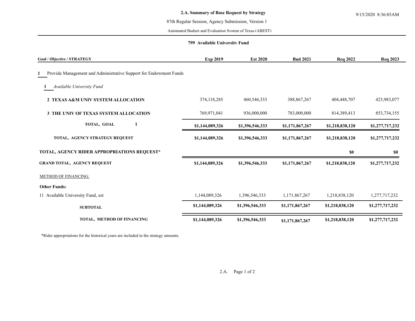### 87th Regular Session, Agency Submission, Version 1

Automated Budget and Evaluation System of Texas (ABEST)

### **799 Available University Fund**

| Goal / Objective / STRATEGY                                       | <b>Exp 2019</b> | <b>Est 2020</b> | <b>Bud 2021</b> | <b>Req 2022</b> | <b>Req 2023</b> |
|-------------------------------------------------------------------|-----------------|-----------------|-----------------|-----------------|-----------------|
| Provide Management and Administrative Support for Endowment Funds |                 |                 |                 |                 |                 |
| Available University Fund                                         |                 |                 |                 |                 |                 |
| 2 TEXAS A&M UNIV SYSTEM ALLOCATION                                | 374,118,285     | 460,546,333     | 388, 867, 267   | 404,448,707     | 423,983,077     |
| <b>3 THE UNIV OF TEXAS SYSTEM ALLOCATION</b>                      | 769,971,041     | 936,000,000     | 783,000,000     | 814,389,413     | 853,734,155     |
| TOTAL, GOAL                                                       | \$1,144,089,326 | \$1,396,546,333 | \$1,171,867,267 | \$1,218,838,120 | \$1,277,717,232 |
| TOTAL, AGENCY STRATEGY REQUEST                                    | \$1,144,089,326 | \$1,396,546,333 | \$1,171,867,267 | \$1,218,838,120 | \$1,277,717,232 |
| TOTAL, AGENCY RIDER APPROPRIATIONS REQUEST*                       |                 |                 |                 | \$0             | \$0             |
| <b>GRAND TOTAL, AGENCY REQUEST</b>                                | \$1,144,089,326 | \$1,396,546,333 | \$1,171,867,267 | \$1,218,838,120 | \$1,277,717,232 |
| METHOD OF FINANCING:                                              |                 |                 |                 |                 |                 |
| <b>Other Funds:</b>                                               |                 |                 |                 |                 |                 |
| 11 Available University Fund, est                                 | 1,144,089,326   | 1,396,546,333   | 1,171,867,267   | 1,218,838,120   | 1,277,717,232   |
| <b>SUBTOTAL</b>                                                   | \$1,144,089,326 | \$1,396,546,333 | \$1,171,867,267 | \$1,218,838,120 | \$1,277,717,232 |
| TOTAL, METHOD OF FINANCING                                        | \$1,144,089,326 | \$1,396,546,333 | \$1,171,867,267 | \$1,218,838,120 | \$1,277,717,232 |

\*Rider appropriations for the historical years are included in the strategy amounts.

2.A. Page 1 of 2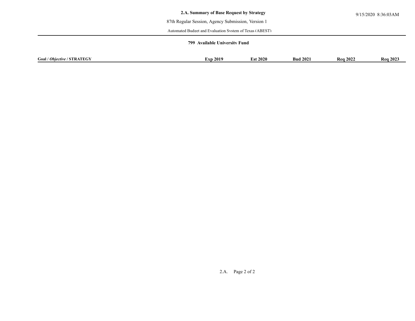# 87th Regular Session, Agency Submission, Version 1

Automated Budget and Evaluation System of Texas (ABEST)

### **799 Available University Fund**

| Goal /<br>$\scriptstyle z$ / STRATEGV .<br>$/$ Ob<br>biective | <b>Exp 2019</b> | 2020ء | 202<br>- Bud | $202^\circ$<br>-Rea | <b>Rea 2023</b> |
|---------------------------------------------------------------|-----------------|-------|--------------|---------------------|-----------------|
|                                                               |                 |       |              |                     |                 |

2.A. Page 2 of 2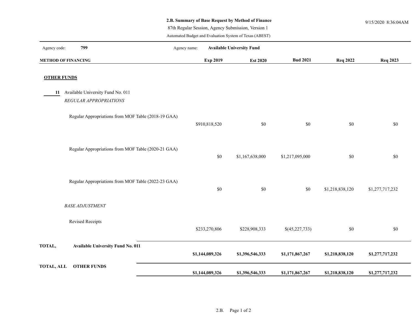# **2.B. Summary of Base Request by Method of Finance** 9/15/2020 8:36:04AM

87th Regular Session, Agency Submission, Version 1

Automated Budget and Evaluation System of Texas (ABEST)

| 799<br>Agency code:                                 | Agency name: |                 | <b>Available University Fund</b> |                 |                 |                 |
|-----------------------------------------------------|--------------|-----------------|----------------------------------|-----------------|-----------------|-----------------|
| <b>METHOD OF FINANCING</b>                          |              | Exp 2019        | <b>Est 2020</b>                  | <b>Bud 2021</b> | <b>Req 2022</b> | <b>Req 2023</b> |
| <b>OTHER FUNDS</b>                                  |              |                 |                                  |                 |                 |                 |
| 11 Available University Fund No. 011                |              |                 |                                  |                 |                 |                 |
| REGULAR APPROPRIATIONS                              |              |                 |                                  |                 |                 |                 |
| Regular Appropriations from MOF Table (2018-19 GAA) |              | \$910,818,520   | \$0                              | \$0             | \$0             | $\$0$           |
| Regular Appropriations from MOF Table (2020-21 GAA) |              | \$0             | \$1,167,638,000                  | \$1,217,095,000 | \$0             | \$0             |
| Regular Appropriations from MOF Table (2022-23 GAA) |              | $\$0$           | $\$0$                            | \$0             | \$1,218,838,120 | \$1,277,717,232 |
| <b>BASE ADJUSTMENT</b>                              |              |                 |                                  |                 |                 |                 |
| <b>Revised Receipts</b>                             |              | \$233,270,806   | \$228,908,333                    | \$(45,227,733)  | \$0             | \$0             |
| TOTAL,<br><b>Available University Fund No. 011</b>  |              | \$1,144,089,326 | \$1,396,546,333                  | \$1,171,867,267 | \$1,218,838,120 | \$1,277,717,232 |
| <b>OTHER FUNDS</b><br><b>TOTAL, ALL</b>             |              | \$1,144,089,326 | \$1,396,546,333                  | \$1,171,867,267 | \$1,218,838,120 | \$1,277,717,232 |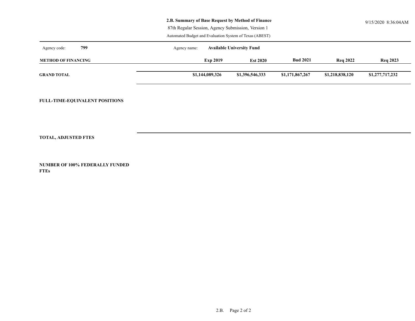| 2.B. Summary of Base Request by Method of Finance | 9/15/2020 8:36:04AM |
|---------------------------------------------------|---------------------|
|                                                   |                     |

87th Regular Session, Agency Submission, Version 1

Automated Budget and Evaluation System of Texas (ABEST)

| 799<br>Agency code:        | <b>Available University Fund</b><br>Agency name: |                 |                 |                 |                 |  |  |  |
|----------------------------|--------------------------------------------------|-----------------|-----------------|-----------------|-----------------|--|--|--|
| <b>METHOD OF FINANCING</b> | <b>Exp 2019</b>                                  | <b>Est 2020</b> | <b>Bud 2021</b> | <b>Reg 2022</b> | <b>Req 2023</b> |  |  |  |
| <b>GRAND TOTAL</b>         | \$1,144,089,326                                  | \$1,396,546,333 | \$1,171,867,267 | \$1,218,838,120 | \$1,277,717,232 |  |  |  |

**FULL-TIME-EQUIVALENT POSITIONS**

**TOTAL, ADJUSTED FTES**

**NUMBER OF 100% FEDERALLY FUNDED FTEs**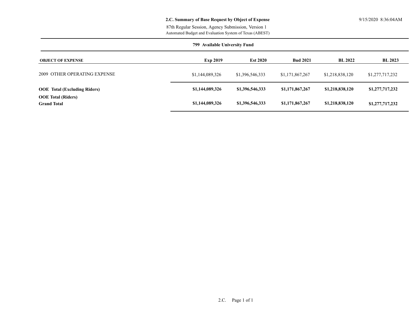# **2.C. Summary of Base Request by Object of Expense** 9/15/2020 8:36:04AM

Automated Budget and Evaluation System of Texas (ABEST) 87th Regular Session, Agency Submission, Version 1

| 799 Available University Fund                   |                 |                 |                 |                 |                 |  |
|-------------------------------------------------|-----------------|-----------------|-----------------|-----------------|-----------------|--|
| <b>OBJECT OF EXPENSE</b>                        | <b>Exp 2019</b> | <b>Est 2020</b> | <b>Bud 2021</b> | <b>BL 2022</b>  | <b>BL 2023</b>  |  |
| 2009 OTHER OPERATING EXPENSE                    | \$1,144,089,326 | \$1,396,546,333 | \$1,171,867,267 | \$1,218,838,120 | \$1,277,717,232 |  |
| <b>OOE</b> Total (Excluding Riders)             | \$1,144,089,326 | \$1,396,546,333 | \$1,171,867,267 | \$1,218,838,120 | \$1,277,717,232 |  |
| <b>OOE</b> Total (Riders)<br><b>Grand Total</b> | \$1,144,089,326 | \$1,396,546,333 | \$1,171,867,267 | \$1,218,838,120 | \$1,277,717,232 |  |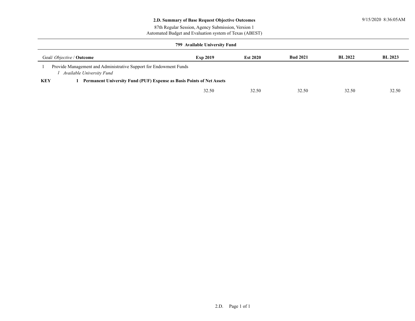# **2.D. Summary of Base Request Objective Outcomes** 9/15/2020 8:36:05AM

Automated Budget and Evaluation system of Texas (ABEST) 87th Regular Session, Agency Submission, Version 1

| 799 Available University Fund                                                                  |                 |                 |                 |                |                |  |  |  |  |
|------------------------------------------------------------------------------------------------|-----------------|-----------------|-----------------|----------------|----------------|--|--|--|--|
| Goal/ <i>Objective</i> / <b>Outcome</b>                                                        | <b>Exp 2019</b> | <b>Est 2020</b> | <b>Bud 2021</b> | <b>BL 2022</b> | <b>BL 2023</b> |  |  |  |  |
| Provide Management and Administrative Support for Endowment Funds<br>Available University Fund |                 |                 |                 |                |                |  |  |  |  |
| <b>KEY</b><br>Permanent University Fund (PUF) Expense as Basis Points of Net Assets            |                 |                 |                 |                |                |  |  |  |  |
|                                                                                                | 32.50           | 32.50           | 32.50           | 32.50          | 32.50          |  |  |  |  |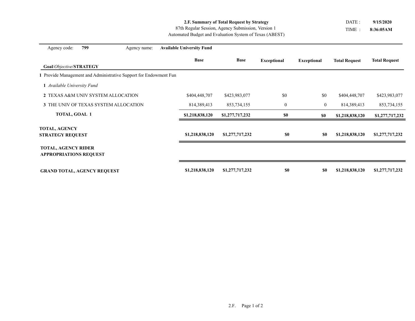# **2.F. Summary of Total Request by Strategy**

Automated Budget and Evaluation System of Texas (ABEST) 87th Regular Session, Agency Submission, Version 1

TIME : **8:36:05AM** DATE : **9/15/2020**

| Agency code:                                                | 799 | Agency name:                                                    | <b>Available University Fund</b> |                 |                    |                    |                      |                      |
|-------------------------------------------------------------|-----|-----------------------------------------------------------------|----------------------------------|-----------------|--------------------|--------------------|----------------------|----------------------|
|                                                             |     |                                                                 | <b>Base</b>                      | <b>Base</b>     | <b>Exceptional</b> | <b>Exceptional</b> | <b>Total Request</b> | <b>Total Request</b> |
| Goal/Objective/STRATEGY                                     |     |                                                                 |                                  |                 |                    |                    |                      |                      |
|                                                             |     | Provide Management and Administrative Support for Endowment Fun |                                  |                 |                    |                    |                      |                      |
| 1 Available University Fund                                 |     |                                                                 |                                  |                 |                    |                    |                      |                      |
|                                                             |     | 2 TEXAS A&M UNIV SYSTEM ALLOCATION                              | \$404,448,707                    | \$423,983,077   | \$0                | \$0                | \$404,448,707        | \$423,983,077        |
|                                                             |     | 3 THE UNIV OF TEXAS SYSTEM ALLOCATION                           | 814,389,413                      | 853,734,155     | $\boldsymbol{0}$   | $\mathbf{0}$       | 814,389,413          | 853,734,155          |
| <b>TOTAL, GOAL 1</b>                                        |     |                                                                 | \$1,218,838,120                  | \$1,277,717,232 | \$0                | \$0                | \$1,218,838,120      | \$1,277,717,232      |
| <b>TOTAL, AGENCY</b><br><b>STRATEGY REQUEST</b>             |     |                                                                 | \$1,218,838,120                  | \$1,277,717,232 | \$0                | \$0                | \$1,218,838,120      | \$1,277,717,232      |
| <b>TOTAL, AGENCY RIDER</b><br><b>APPROPRIATIONS REQUEST</b> |     |                                                                 |                                  |                 |                    |                    |                      |                      |
| <b>GRAND TOTAL, AGENCY REQUEST</b>                          |     |                                                                 | \$1,218,838,120                  | \$1,277,717,232 | \$0                | \$0                | \$1,218,838,120      | \$1,277,717,232      |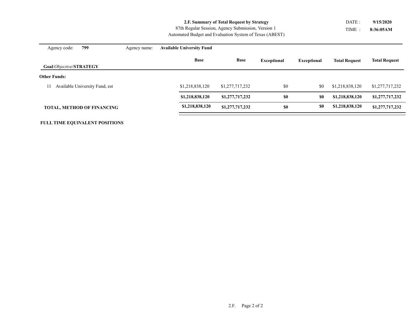**2.F. Summary of Total Request by Strategy**

Automated Budget and Evaluation System of Texas (ABEST) 87th Regular Session, Agency Submission, Version 1

TIME : **8:36:05AM** DATE : **9/15/2020**

| 799<br>Agency code:                  | Agency name: | <b>Available University Fund</b> |                 |                    |                    |                      |                      |
|--------------------------------------|--------------|----------------------------------|-----------------|--------------------|--------------------|----------------------|----------------------|
| Goal/Objective/STRATEGY              |              | <b>Base</b>                      | <b>Base</b>     | <b>Exceptional</b> | <b>Exceptional</b> | <b>Total Request</b> | <b>Total Request</b> |
| <b>Other Funds:</b>                  |              |                                  |                 |                    |                    |                      |                      |
| Available University Fund, est<br>11 |              | \$1,218,838,120                  | \$1,277,717,232 | \$0                | \$0                | \$1,218,838,120      | \$1,277,717,232      |
|                                      |              | \$1,218,838,120                  | \$1,277,717,232 | \$0                | \$0                | \$1,218,838,120      | \$1,277,717,232      |
| <b>TOTAL, METHOD OF FINANCING</b>    |              | \$1,218,838,120                  | \$1,277,717,232 | \$0                | \$0                | \$1,218,838,120      | \$1,277,717,232      |

# 2.F. Page 2 of 2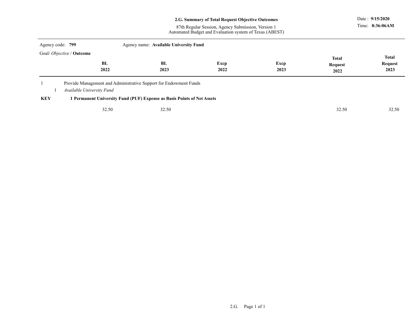|                                  |                           |                                                                         | 2.G. Summary of Total Request Objective Outcomes<br>87th Regular Session, Agency Submission, Version 1 |      |                         | Date: 9/15/2020<br>Time: 8:36:06AM |
|----------------------------------|---------------------------|-------------------------------------------------------------------------|--------------------------------------------------------------------------------------------------------|------|-------------------------|------------------------------------|
|                                  |                           |                                                                         | Automated Budget and Evaluation system of Texas (ABEST)                                                |      |                         |                                    |
| Agency code: 799                 |                           | Agency name: Available University Fund                                  |                                                                                                        |      |                         |                                    |
| Goal/ Objective / <b>Outcome</b> | <b>BL</b>                 | BL                                                                      | Excp                                                                                                   | Excp | <b>Total</b><br>Request | <b>Total</b><br>Request            |
|                                  | 2022                      | 2023                                                                    | 2022                                                                                                   | 2023 | 2022                    | 2023                               |
|                                  | Available University Fund | Provide Management and Administrative Support for Endowment Funds       |                                                                                                        |      |                         |                                    |
| <b>KEY</b>                       |                           | 1 Permanent University Fund (PUF) Expense as Basis Points of Net Assets |                                                                                                        |      |                         |                                    |
|                                  | 32.50                     | 32.50                                                                   |                                                                                                        |      | 32.50                   | 32.50                              |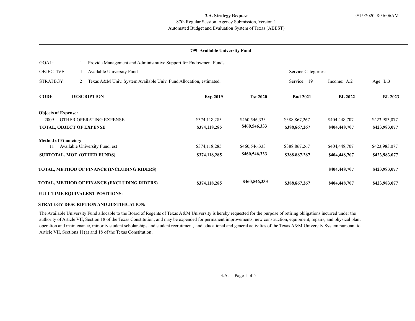# Automated Budget and Evaluation System of Texas (ABEST) 87th Regular Session, Agency Submission, Version 1

### **799 Available University Fund**

| GOAL:                           |   | Provide Management and Administrative Support for Endowment Funds  |               |                 |                     |                |                |  |  |
|---------------------------------|---|--------------------------------------------------------------------|---------------|-----------------|---------------------|----------------|----------------|--|--|
| <b>OBJECTIVE:</b>               |   | Available University Fund                                          |               |                 | Service Categories: |                |                |  |  |
| <b>STRATEGY:</b>                | 2 | Texas A&M Univ. System Available Univ. Fund Allocation, estimated. |               |                 | Service: 19         | Income: A.2    | Age: $B.3$     |  |  |
| <b>CODE</b>                     |   | <b>DESCRIPTION</b>                                                 | Exp 2019      | <b>Est 2020</b> | <b>Bud 2021</b>     | <b>BL 2022</b> | <b>BL 2023</b> |  |  |
| <b>Objects of Expense:</b>      |   |                                                                    |               |                 |                     |                |                |  |  |
| OTHER OPERATING EXPENSE<br>2009 |   |                                                                    | \$374,118,285 | \$460,546,333   | \$388,867,267       | \$404,448,707  | \$423,983,077  |  |  |
| <b>TOTAL, OBJECT OF EXPENSE</b> |   |                                                                    | \$374,118,285 | \$460,546,333   | \$388,867,267       | \$404,448,707  | \$423,983,077  |  |  |
| <b>Method of Financing:</b>     |   |                                                                    |               |                 |                     |                |                |  |  |
|                                 |   | Available University Fund, est                                     | \$374,118,285 | \$460,546,333   | \$388,867,267       | \$404,448,707  | \$423,983,077  |  |  |
|                                 |   | <b>SUBTOTAL, MOF (OTHER FUNDS)</b>                                 | \$374,118,285 | \$460,546,333   | \$388,867,267       | \$404,448,707  | \$423,983,077  |  |  |
|                                 |   | TOTAL, METHOD OF FINANCE (INCLUDING RIDERS)                        |               |                 |                     | \$404,448,707  | \$423,983,077  |  |  |
|                                 |   | TOTAL, METHOD OF FINANCE (EXCLUDING RIDERS)                        | \$374,118,285 | \$460,546,333   | \$388,867,267       | \$404,448,707  | \$423,983,077  |  |  |
|                                 |   | <b>FULL TIME EQUIVALENT POSITIONS:</b>                             |               |                 |                     |                |                |  |  |

#### **STRATEGY DESCRIPTION AND JUSTIFICATION:**

The Available University Fund allocable to the Board of Regents of Texas A&M University is hereby requested for the purpose of retiring obligations incurred under the authority of Article VII, Section 18 of the Texas Constitution, and may be expended for permanent improvements, new construction, equipment, repairs, and physical plant operation and maintenance, minority student scholarships and student recruitment, and educational and general activities of the Texas A&M University System pursuant to Article VII, Sections 11(a) and 18 of the Texas Constitution.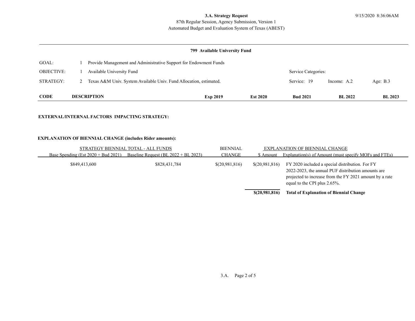# **3.A. Strategy Request** 9/15/2020 8:36:06AM

# Automated Budget and Evaluation System of Texas (ABEST) 87th Regular Session, Agency Submission, Version 1

# **799 Available University Fund**

| <b>CODE</b>       | <b>DESCRIPTION</b>                                                   |                                                                   | <b>Exp 2019</b> | <b>Est 2020</b> | <b>Bud 2021</b> | <b>BL</b> 2022      | <b>BL 2023</b> |  |  |
|-------------------|----------------------------------------------------------------------|-------------------------------------------------------------------|-----------------|-----------------|-----------------|---------------------|----------------|--|--|
| STRATEGY:         | 2 Texas A&M Univ. System Available Univ. Fund Allocation, estimated. |                                                                   |                 |                 | Service: 19     | Income: A.2         | Age: $B.3$     |  |  |
| <b>OBJECTIVE:</b> |                                                                      | Available University Fund                                         |                 |                 |                 | Service Categories: |                |  |  |
| GOAL:             |                                                                      | Provide Management and Administrative Support for Endowment Funds |                 |                 |                 |                     |                |  |  |

#### **EXTERNAL/INTERNAL FACTORS IMPACTING STRATEGY:**

### **EXPLANATION OF BIENNIAL CHANGE (includes Rider amounts):**

| STRATEGY BIENNIAL TOTAL - ALL FUNDS    | <b>BIENNIAL</b>                         |                | EXPLANATION OF BIENNIAL CHANGE |                                                                                                                                                                                                  |
|----------------------------------------|-----------------------------------------|----------------|--------------------------------|--------------------------------------------------------------------------------------------------------------------------------------------------------------------------------------------------|
| Base Spending (Est $2020 + Bud 2021$ ) | Baseline Request (BL $2022 + BL 2023$ ) | <b>CHANGE</b>  | \$ Amount                      | Explanation(s) of Amount (must specify MOFs and FTEs)                                                                                                                                            |
| \$849,413,600                          | \$828,431,784                           | \$(20,981,816) | \$(20,981,816)                 | FY 2020 included a special distribution. For FY<br>2022-2023, the annual PUF distribution amounts are<br>projected to increase from the FY 2021 amount by a rate<br>equal to the CPI plus 2.65%. |
|                                        |                                         |                | \$(20,981,816)                 | <b>Total of Explanation of Biennial Change</b>                                                                                                                                                   |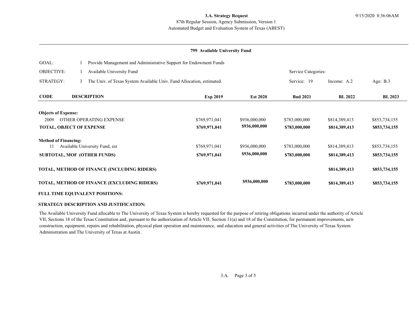# Automated Budget and Evaluation System of Texas (ABEST) 87th Regular Session, Agency Submission, Version 1

#### **799 Available University Fund**

| GOAL:                           |   | Provide Management and Administrative Support for Endowment Funds     |               |                 |                     |                |                |  |  |
|---------------------------------|---|-----------------------------------------------------------------------|---------------|-----------------|---------------------|----------------|----------------|--|--|
| <b>OBJECTIVE:</b>               |   | Available University Fund                                             |               |                 | Service Categories: |                |                |  |  |
| <b>STRATEGY:</b>                | 3 | The Univ. of Texas System Available Univ. Fund Allocation, estimated. |               |                 | Service: 19         | Income: A.2    | Age: $B.3$     |  |  |
| <b>CODE</b>                     |   | <b>DESCRIPTION</b>                                                    | Exp 2019      | <b>Est 2020</b> | <b>Bud 2021</b>     | <b>BL 2022</b> | <b>BL 2023</b> |  |  |
| <b>Objects of Expense:</b>      |   |                                                                       |               |                 |                     |                |                |  |  |
| OTHER OPERATING EXPENSE<br>2009 |   |                                                                       | \$769,971,041 | \$936,000,000   | \$783,000,000       | \$814,389,413  | \$853,734,155  |  |  |
| <b>TOTAL, OBJECT OF EXPENSE</b> |   |                                                                       | \$769,971,041 | \$936,000,000   | \$783,000,000       | \$814,389,413  | \$853,734,155  |  |  |
| <b>Method of Financing:</b>     |   |                                                                       |               |                 |                     |                |                |  |  |
|                                 |   | Available University Fund, est                                        | \$769,971,041 | \$936,000,000   | \$783,000,000       | \$814,389,413  | \$853,734,155  |  |  |
|                                 |   | <b>SUBTOTAL, MOF (OTHER FUNDS)</b>                                    | \$769,971,041 | \$936,000,000   | \$783,000,000       | \$814,389,413  | \$853,734,155  |  |  |
|                                 |   | TOTAL, METHOD OF FINANCE (INCLUDING RIDERS)                           |               |                 |                     | \$814,389,413  | \$853,734,155  |  |  |
|                                 |   | TOTAL, METHOD OF FINANCE (EXCLUDING RIDERS)                           | \$769,971,041 | \$936,000,000   | \$783,000,000       | \$814,389,413  | \$853,734,155  |  |  |
|                                 |   | <b>FULL TIME EQUIVALENT POSITIONS:</b>                                |               |                 |                     |                |                |  |  |

#### **STRATEGY DESCRIPTION AND JUSTIFICATION:**

The Available University Fund allocable to The University of Texas System is hereby requested for the purpose of retiring obligations incurred under the authority of Article VII, Sections 18 of the Texas Constitution and, pursuant to the authorization of Article VII, Section 11(a) and 18 of the Constitution, for permanent improvements, new construction, equipment, repairs and rehabilitation, physical plant operation and maintenance, and education and general activities of The University of Texas System Administration and The University of Texas at Austin.

3.A. Page 3 of 5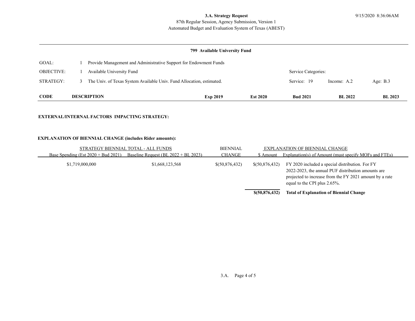# **3.A. Strategy Request** 9/15/2020 8:36:06AM

# Automated Budget and Evaluation System of Texas (ABEST) 87th Regular Session, Agency Submission, Version 1

# **799 Available University Fund**

| <b>CODE</b>       | <b>DESCRIPTION</b>                                                    |                                                                   | <b>Exp 2019</b> | <b>Est 2020</b> | <b>Bud 2021</b> | <b>BL</b> 2022      | <b>BL</b> 2023 |  |  |
|-------------------|-----------------------------------------------------------------------|-------------------------------------------------------------------|-----------------|-----------------|-----------------|---------------------|----------------|--|--|
| STRATEGY:         | The Univ. of Texas System Available Univ. Fund Allocation, estimated. |                                                                   |                 |                 | Service: 19     | Income: A.2         | Age: $B.3$     |  |  |
| <b>OBJECTIVE:</b> |                                                                       | Available University Fund                                         |                 |                 |                 | Service Categories: |                |  |  |
| GOAL:             |                                                                       | Provide Management and Administrative Support for Endowment Funds |                 |                 |                 |                     |                |  |  |

#### **EXTERNAL/INTERNAL FACTORS IMPACTING STRATEGY:**

### **EXPLANATION OF BIENNIAL CHANGE (includes Rider amounts):**

| STRATEGY BIENNIAL TOTAL - ALL FUNDS    | <b>BIENNIAL</b>                         |                | EXPLANATION OF BIENNIAL CHANGE |                                                                                                                                                                                                  |
|----------------------------------------|-----------------------------------------|----------------|--------------------------------|--------------------------------------------------------------------------------------------------------------------------------------------------------------------------------------------------|
| Base Spending (Est $2020 + Bud 2021$ ) | Baseline Request (BL $2022 + BL 2023$ ) | <b>CHANGE</b>  | \$ Amount                      | Explanation(s) of Amount (must specify MOFs and FTEs)                                                                                                                                            |
| \$1,719,000,000                        | \$1,668,123,568                         | \$(50,876,432) | \$(50,876,432)                 | FY 2020 included a special distribution. For FY<br>2022-2023, the annual PUF distribution amounts are<br>projected to increase from the FY 2021 amount by a rate<br>equal to the CPI plus 2.65%. |
|                                        |                                         |                | \$ (50,876,432)                | <b>Total of Explanation of Biennial Change</b>                                                                                                                                                   |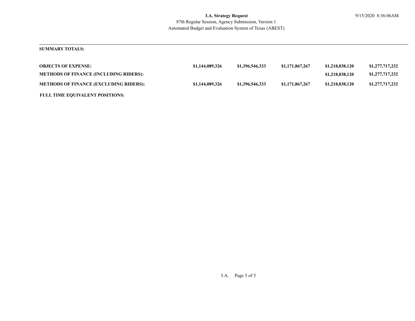# **SUMMARY TOTALS:**

| <b>OBJECTS OF EXPENSE:</b>                    | \$1,144,089,326 | \$1,396,546,333 | \$1,171,867,267 | \$1,218,838,120 | \$1,277,717,232 |
|-----------------------------------------------|-----------------|-----------------|-----------------|-----------------|-----------------|
| <b>METHODS OF FINANCE (INCLUDING RIDERS):</b> |                 |                 |                 | \$1,218,838,120 | \$1,277,717,232 |
| <b>METHODS OF FINANCE (EXCLUDING RIDERS):</b> | \$1,144,089,326 | \$1,396,546,333 | \$1,171,867,267 | \$1,218,838,120 | \$1,277,717,232 |
| <b>FULL TIME EQUIVALENT POSITIONS:</b>        |                 |                 |                 |                 |                 |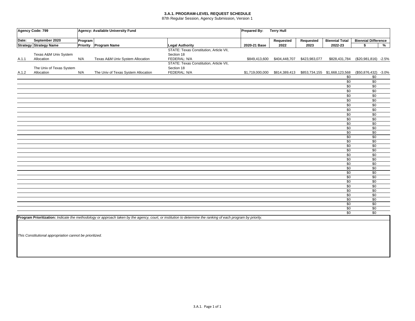#### **3.A.1. PROGRAM-LEVEL REQUEST SCHEDULE**

87th Regular Session, Agency Submission, Version 1

|       | Agency Code: 799              |         | Agency: Available University Fund   | Prepared By:                                                                                                                                                  | <b>Terry Hull</b> |               |               |                                                             |                            |   |
|-------|-------------------------------|---------|-------------------------------------|---------------------------------------------------------------------------------------------------------------------------------------------------------------|-------------------|---------------|---------------|-------------------------------------------------------------|----------------------------|---|
| Date: | September 2020                | Program |                                     |                                                                                                                                                               |                   | Requested     | Requested     | <b>Biennial Total</b>                                       | <b>Biennial Difference</b> |   |
|       | <b>Strategy Strategy Name</b> |         | Priority Program Name               | <b>Legal Authority</b>                                                                                                                                        | 2020-21 Base      | 2022          | 2023          | 2022-23                                                     | \$                         | % |
|       |                               |         |                                     | STATE: Texas Constitution, Article VII,                                                                                                                       |                   |               |               |                                                             |                            |   |
|       | Texas A&M Univ System         |         |                                     | Section 18                                                                                                                                                    |                   |               |               |                                                             |                            |   |
| A.1.1 | Allocation                    | N/A     | Texas A&M Univ System Allocation    | FEDERAL: N/A                                                                                                                                                  | \$849,413,600     | \$404,448,707 | \$423,983,077 | \$828,431,784                                               | (\$20,981,816) -2.5%       |   |
|       |                               |         |                                     | STATE: Texas Constitution, Article VII,                                                                                                                       |                   |               |               |                                                             |                            |   |
|       | The Univ of Texas System      |         |                                     | Section 18                                                                                                                                                    |                   |               |               |                                                             |                            |   |
| A.1.2 | Allocation                    | N/A     | The Univ of Texas System Allocation | FEDERAL: N/A                                                                                                                                                  |                   |               |               | \$1,719,000,000 \$814,389,413 \$853,734,155 \$1,668,123,568 | (\$50,876,432) -3.0%       |   |
|       |                               |         |                                     |                                                                                                                                                               |                   |               |               | $\overline{50}$                                             | $\overline{30}$            |   |
|       |                               |         |                                     |                                                                                                                                                               |                   |               |               | \$0                                                         | \$0                        |   |
|       |                               |         |                                     |                                                                                                                                                               |                   |               |               | \$0                                                         | \$0                        |   |
|       |                               |         |                                     |                                                                                                                                                               |                   |               |               | \$0                                                         | $\sqrt{6}$                 |   |
|       |                               |         |                                     |                                                                                                                                                               |                   |               |               | \$0                                                         | \$0                        |   |
|       |                               |         |                                     |                                                                                                                                                               |                   |               |               | \$0                                                         | \$0                        |   |
|       |                               |         |                                     |                                                                                                                                                               |                   |               |               | \$0                                                         | \$0                        |   |
|       |                               |         |                                     |                                                                                                                                                               |                   |               |               | \$0                                                         | \$0                        |   |
|       |                               |         |                                     |                                                                                                                                                               |                   |               |               | \$0                                                         | \$0                        |   |
|       |                               |         |                                     |                                                                                                                                                               |                   |               |               | \$0                                                         | \$0                        |   |
|       |                               |         |                                     |                                                                                                                                                               |                   |               |               | $\overline{50}$                                             | $\overline{30}$            |   |
|       |                               |         |                                     |                                                                                                                                                               |                   |               |               | $\overline{50}$                                             | $\overline{30}$            |   |
|       |                               |         |                                     |                                                                                                                                                               |                   |               |               | $\sqrt{6}$                                                  | $\overline{30}$            |   |
|       |                               |         |                                     |                                                                                                                                                               |                   |               |               | \$0                                                         | \$0                        |   |
|       |                               |         |                                     |                                                                                                                                                               |                   |               |               | \$0                                                         | $\sqrt{6}$                 |   |
|       |                               |         |                                     |                                                                                                                                                               |                   |               |               | \$0                                                         | $\overline{30}$            |   |
|       |                               |         |                                     |                                                                                                                                                               |                   |               |               | $\overline{50}$                                             | $\overline{30}$            |   |
|       |                               |         |                                     |                                                                                                                                                               |                   |               |               | \$0                                                         | $\overline{30}$            |   |
|       |                               |         |                                     |                                                                                                                                                               |                   |               |               | \$0                                                         | \$0                        |   |
|       |                               |         |                                     |                                                                                                                                                               |                   |               |               | \$0                                                         | $\overline{30}$            |   |
|       |                               |         |                                     |                                                                                                                                                               |                   |               |               | \$0                                                         | \$0                        |   |
|       |                               |         |                                     |                                                                                                                                                               |                   |               |               | $\overline{50}$                                             | $\overline{30}$            |   |
|       |                               |         |                                     |                                                                                                                                                               |                   |               |               | $\overline{50}$                                             | $\overline{30}$            |   |
|       |                               |         |                                     |                                                                                                                                                               |                   |               |               | $\overline{50}$                                             | \$0                        |   |
|       |                               |         |                                     |                                                                                                                                                               |                   |               |               | $\sqrt{50}$                                                 | \$0                        |   |
|       |                               |         |                                     |                                                                                                                                                               |                   |               |               | \$0                                                         | $\overline{30}$            |   |
|       |                               |         |                                     |                                                                                                                                                               |                   |               |               | \$0                                                         | $\sqrt{6}$                 |   |
|       |                               |         |                                     |                                                                                                                                                               |                   |               |               | \$0                                                         | \$0                        |   |
|       |                               |         |                                     |                                                                                                                                                               |                   |               |               | $\overline{50}$                                             | $\overline{30}$            |   |
|       |                               |         |                                     |                                                                                                                                                               |                   |               |               | \$0                                                         | \$0                        |   |
|       |                               |         |                                     |                                                                                                                                                               |                   |               |               | \$0                                                         | \$0                        |   |
|       |                               |         |                                     | Program Prioritization: Indicate the methodology or approach taken by the agency, court, or institution to determine the ranking of each program by priority. |                   |               |               |                                                             |                            |   |

*This Constitutional appropriation cannot be prioritized.*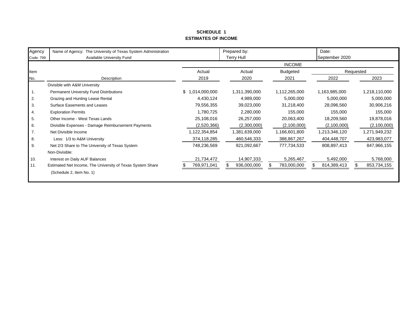# **SCHEDULE 1ESTIMATES OF INCOME**

| Agency<br>Code: 799 | Name of Agency: The University of Texas System Administration<br>Available University Fund |                     | Prepared by:<br><b>Terry Hull</b> |                 | Date:<br>September 2020 |               |  |
|---------------------|--------------------------------------------------------------------------------------------|---------------------|-----------------------------------|-----------------|-------------------------|---------------|--|
|                     |                                                                                            |                     | <b>INCOME</b>                     |                 |                         |               |  |
| Item                |                                                                                            | Actual              | Actual                            | <b>Budgeted</b> |                         | Requested     |  |
| No.                 | Description                                                                                | 2019                | 2020                              | 2021            | 2022                    | 2023          |  |
|                     | Divisible with A&M University                                                              |                     |                                   |                 |                         |               |  |
|                     | Permanent University Fund Distributions                                                    | \$<br>1,014,000,000 | 1,311,390,000                     | 1,112,265,000   | 1,163,985,000           | 1,218,110,000 |  |
| 2.                  | Grazing and Hunting Lease Rental                                                           | 4,430,124           | 4,989,000                         | 5,000,000       | 5,000,000               | 5,000,000     |  |
| 3.                  | <b>Surface Easements and Leases</b>                                                        | 79,556,355          | 39,023,000                        | 31,218,400      | 28,096,560              | 30,906,216    |  |
| 4.                  | <b>Exploration Permits</b>                                                                 | 1,780,725           | 2,280,000                         | 155,000         | 155,000                 | 155,000       |  |
| 5.                  | Other Income - West Texas Lands                                                            | 25,108,016          | 26,257,000                        | 20,063,400      | 18,209,560              | 19,878,016    |  |
| 6.                  | Divisible Expenses - Damage Reimbursement Payments                                         | (2,520,366)         | (2,300,000)                       | (2,100,000)     | (2,100,000)             | (2,100,000)   |  |
| 7.                  | Net Divisible Income                                                                       | 1,122,354,854       | 1,381,639,000                     | 1,166,601,800   | 1,213,346,120           | 1,271,949,232 |  |
| 8.                  | Less: 1/3 to A&M University                                                                | 374,118,285         | 460,546,333                       | 388,867,267     | 404,448,707             | 423,983,077   |  |
| 9.                  | Net 2/3 Share to The University of Texas System                                            | 748,236,569         | 921,092,667                       | 777,734,533     | 808,897,413             | 847,966,155   |  |
|                     | Non-Divisible:                                                                             |                     |                                   |                 |                         |               |  |
| 10.                 | Interest on Daily AUF Balances                                                             | 21,734,472          | 14,907,333                        | 5,265,467       | 5,492,000               | 5,768,000     |  |
| 11.                 | Estimated Net Income, The University of Texas System Share                                 | 769,971,041         | 936,000,000                       | 783,000,000     | 814,389,413             | 853,734,155   |  |
|                     | (Schedule 2, Item No. 1)                                                                   |                     |                                   |                 |                         |               |  |
|                     |                                                                                            |                     |                                   |                 |                         |               |  |